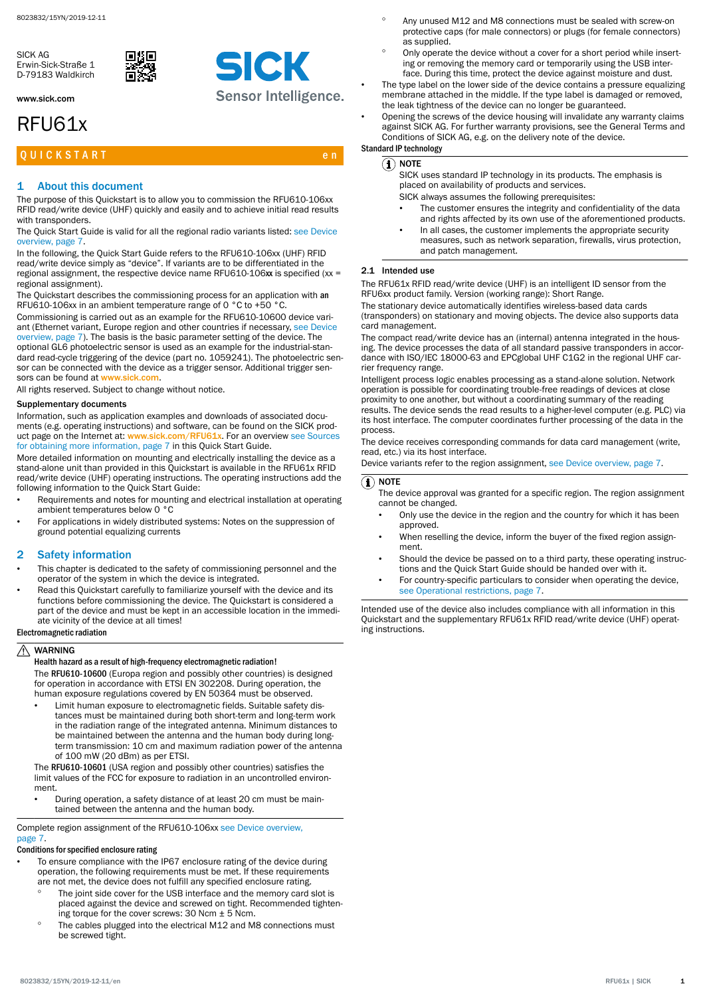<span id="page-0-0"></span>SICK AG Erwin-Sick-Straße 1 D-79183 Waldkirch

www.sick.com

# RFU61x

# Q U I C K S T A R T E NEW YORK START THE RESIDENCE OF A RESIDENCE OF A RESIDENCE OF A RESIDENCE OF A RESIDENCE

# 1 About this document

The purpose of this Quickstart is to allow you to commission the RFU610-106xx RFID read/write device (UHF) quickly and easily and to achieve initial read results with transponders.

The Quick Start Guide is valid for all the regional radio variants listed: [see Device](#page-6-0) [overview, page 7](#page-6-0).

In the following, the Quick Start Guide refers to the RFU610-106xx (UHF) RFID read/write device simply as "device". If variants are to be differentiated in the regional assignment, the respective device name RFU610-106xx is specified (xx = regional assignment).

The Quickstart describes the commissioning process for an application with an RFU610-106xx in an ambient temperature range of 0 °C to +50 °C.

Commissioning is carried out as an example for the RFU610-10600 device vari‐ ant (Ethernet variant, Europe region and other countries if necessary, [see Device](#page-6-0) [overview, page 7](#page-6-0)). The basis is the basic parameter setting of the device. The optional GL6 photoelectric sensor is used as an example for the industrial-stan‐ dard read-cycle triggering of the device (part no. 1059241). The photoelectric sensor can be connected with the device as a trigger sensor. Additional trigger sensors can be found at [www.sick.com](http://www.sick.com)

All rights reserved. Subject to change without notice.

# Supplementary documents

Information, such as application examples and downloads of associated documents (e.g. operating instructions) and software, can be found on the SICK prod‐ uct page on the Internet at: [www.sick.com/RFU61x](http://www.sick.com/RFU61x). For an overview [see Sources](#page-6-0) [for obtaining more information, page 7](#page-6-0) in this Quick Start Guide.

More detailed information on mounting and electrically installing the device as a stand-alone unit than provided in this Quickstart is available in the RFU61x RFID read/write device (UHF) operating instructions. The operating instructions add the following information to the Quick Start Guide:

- Requirements and notes for mounting and electrical installation at operating ambient temperatures below 0 °C
- For applications in widely distributed systems: Notes on the suppression of ground potential equalizing currents

# 2 Safety information

- This chapter is dedicated to the safety of commissioning personnel and the operator of the system in which the device is integrated.
- Read this Quickstart carefully to familiarize yourself with the device and its functions before commissioning the device. The Quickstart is considered a part of the device and must be kept in an accessible location in the immediate vicinity of the device at all times!

# Electromagnetic radiation

#### $\wedge$ WARNING

# Health hazard as a result of high-frequency electromagnetic radiation!

The RFU610-10600 (Europa region and possibly other countries) is designed for operation in accordance with ETSI EN 302208. During operation, the human exposure regulations covered by EN 50364 must be observed.

• Limit human exposure to electromagnetic fields. Suitable safety dis‐ tances must be maintained during both short-term and long-term work in the radiation range of the integrated antenna. Minimum distances to be maintained between the antenna and the human body during longterm transmission: 10 cm and maximum radiation power of the antenna of 100 mW (20 dBm) as per ETSI.

The RFU610-10601 (USA region and possibly other countries) satisfies the limit values of the FCC for exposure to radiation in an uncontrolled environ‐ ment.

• During operation, a safety distance of at least 20 cm must be main‐ tained between the antenna and the human body.

Complete region assignment of the RFU610-106xx [see Device overview,](#page-6-0) [page 7](#page-6-0).

# Conditions for specified enclosure rating

- To ensure compliance with the IP67 enclosure rating of the device during operation, the following requirements must be met. If these requirements are not met, the device does not fulfill any specified enclosure rating.
	- The joint side cover for the USB interface and the memory card slot is placed against the device and screwed on tight. Recommended tighten‐ ing torque for the cover screws: 30 Ncm ± 5 Ncm.
	- The cables plugged into the electrical M12 and M8 connections must be screwed tight.
- Any unused M12 and M8 connections must be sealed with screw-on protective caps (for male connectors) or plugs (for female connectors) as supplied.
- Only operate the device without a cover for a short period while inserting or removing the memory card or temporarily using the USB inter‐ face. During this time, protect the device against moisture and dust.
- The type label on the lower side of the device contains a pressure equalizing membrane attached in the middle. If the type label is damaged or removed, the leak tightness of the device can no longer be guaranteed.
- Opening the screws of the device housing will invalidate any warranty claims against SICK AG. For further warranty provisions, see the General Terms and Conditions of SICK AG, e.g. on the delivery note of the device. Standard IP technology

# $\Omega$  note

SICK uses standard IP technology in its products. The emphasis is placed on availability of products and services.

- SICK always assumes the following prerequisites:
- The customer ensures the integrity and confidentiality of the data and rights affected by its own use of the aforementioned products.
- In all cases, the customer implements the appropriate security measures, such as network separation, firewalls, virus protection, and patch management.

# 2.1 Intended use

The RFU61x RFID read/write device (UHF) is an intelligent ID sensor from the RFU6xx product family. Version (working range): Short Range.

The stationary device automatically identifies wireless-based data cards (transponders) on stationary and moving objects. The device also supports data card management.

The compact read/write device has an (internal) antenna integrated in the hous‐ ing. The device processes the data of all standard passive transponders in accordance with ISO/IEC 18000-63 and EPCglobal UHF C1G2 in the regional UHF car‐ rier frequency range.

Intelligent process logic enables processing as a stand-alone solution. Network operation is possible for coordinating trouble-free readings of devices at close proximity to one another, but without a coordinating summary of the reading results. The device sends the read results to a higher-level computer (e.g. PLC) via its host interface. The computer coordinates further processing of the data in the process.

The device receives corresponding commands for data card management (write, read, etc.) via its host interface.

Device variants refer to the region assignment, [see Device overview, page 7](#page-6-0).

# $(1)$  note

- The device approval was granted for a specific region. The region assignment cannot be changed.
	- Only use the device in the region and the country for which it has been approved.
- When reselling the device, inform the buyer of the fixed region assignment.
- Should the device be passed on to a third party, these operating instructions and the Quick Start Guide should be handed over with it.
- For country-specific particulars to consider when operating the device, [see Operational restrictions, page 7](#page-6-0).

Intended use of the device also includes compliance with all information in this Quickstart and the supplementary RFU61x RFID read/write device (UHF) operat‐ ing instructions.

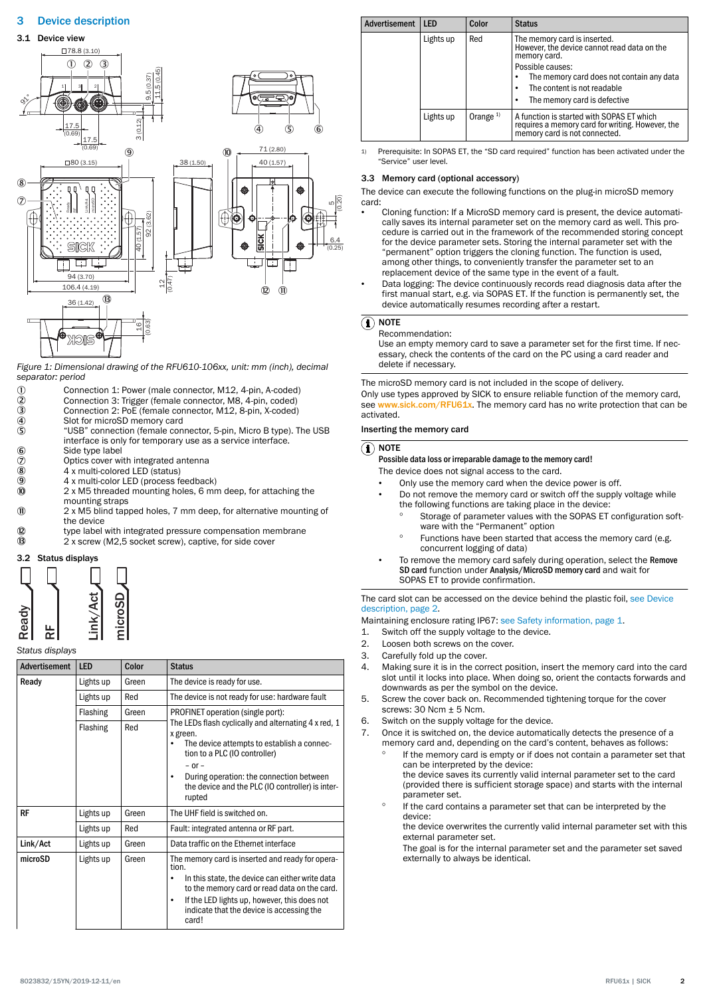# <span id="page-1-0"></span>3 Device description



*Figure 1: Dimensional drawing of the RFU610-106xx, unit: mm (inch), decimal separator: period*

- 
- 1 Connection 1: Power (male connector, M12, 4-pin, A-coded)<br>
2 Connection 3: Trigger (female connector, M8, 4-pin, coded)<br>
3 Connection 2: PoE (female connector, M12, 8-pin, X-coded)<br>
4 Slot for microSD memory card 2 Connection 3: Trigger (female connector, M8, 4-pin, coded)
- 3 Connection 2: PoE (female connector, M12, 8-pin, X-coded)
- 
- 4 Slot for microSD memory card<br>5 "USB" connection (female con 5 "USB" connection (female connector, 5-pin, Micro B type). The USB interface is only for temporary use as a service interface.
- 6<br>
6 Side type label<br>
7 Optics cover wi<br>
8 4 x multi-colore
- Optics cover with integrated antenna
- $\overline{8}$  4 x multi-colored LED (status)<br>  $\overline{9}$  4 x multi-color LED (process fe
- $\frac{9}{10}$  4 x multi-color LED (process feedback)<br> $\frac{1}{10}$  2 x M5 threaded mounting holes. 6 mm
- 2 x M5 threaded mounting holes, 6 mm deep, for attaching the mounting straps
- à 2 x M5 blind tapped holes, 7 mm deep, for alternative mounting of the device
- **<sup>1</sup> EXECUTE:** type label with integrated pressure compensation membrane
- â 2 x screw (M2,5 socket screw), captive, for side cover



# *Status displays*

| Advertisement | <b>LED</b> | Color | <b>Status</b>                                                                                                                                                                                                                                                                        |
|---------------|------------|-------|--------------------------------------------------------------------------------------------------------------------------------------------------------------------------------------------------------------------------------------------------------------------------------------|
| Ready         | Lights up  | Green | The device is ready for use.                                                                                                                                                                                                                                                         |
|               | Lights up  | Red   | The device is not ready for use: hardware fault                                                                                                                                                                                                                                      |
|               | Flashing   | Green | PROFINET operation (single port):                                                                                                                                                                                                                                                    |
|               | Flashing   | Red   | The LEDs flash cyclically and alternating 4 x red, 1<br>x green.<br>The device attempts to establish a connec-<br>tion to a PLC (IO controller)<br>$-$ or $-$<br>During operation: the connection between<br>$\bullet$<br>the device and the PLC (IO controller) is inter-<br>rupted |
| <b>RF</b>     | Lights up  | Green | The UHF field is switched on.                                                                                                                                                                                                                                                        |
|               | Lights up  | Red   | Fault: integrated antenna or RF part.                                                                                                                                                                                                                                                |
| Link/Act      | Lights up  | Green | Data traffic on the Ethernet interface                                                                                                                                                                                                                                               |
| microSD       | Lights up  | Green | The memory card is inserted and ready for opera-<br>tion.<br>In this state, the device can either write data<br>٠<br>to the memory card or read data on the card.<br>If the LED lights up, however, this does not<br>$\bullet$<br>indicate that the device is accessing the<br>card! |

| <b>Advertisement</b> | <b>LFD</b> | Color      | <b>Status</b>                                                                                                                                                                                                               |
|----------------------|------------|------------|-----------------------------------------------------------------------------------------------------------------------------------------------------------------------------------------------------------------------------|
|                      | Lights up  | Red        | The memory card is inserted.<br>However, the device cannot read data on the<br>memory card.<br>Possible causes:<br>The memory card does not contain any data<br>The content is not readable<br>The memory card is defective |
|                      | Lights up  | Orange $1$ | A function is started with SOPAS ET which<br>requires a memory card for writing. However, the<br>memory card is not connected.                                                                                              |

1) Prerequisite: In SOPAS ET, the "SD card required" function has been activated under the "Service" user level.

# 3.3 Memory card (optional accessory)

The device can execute the following functions on the plug-in microSD memory card:

- Cloning function: If a MicroSD memory card is present, the device automati‐ cally saves its internal parameter set on the memory card as well. This procedure is carried out in the framework of the recommended storing concept for the device parameter sets. Storing the internal parameter set with the "permanent" option triggers the cloning function. The function is used, among other things, to conveniently transfer the parameter set to an replacement device of the same type in the event of a fault.
- Data logging: The device continuously records read diagnosis data after the first manual start, e.g. via SOPAS ET. If the function is permanently set, the device automatically resumes recording after a restart.

# $\Omega$  note

#### Recommendation:

Use an empty memory card to save a parameter set for the first time. If nec‐ essary, check the contents of the card on the PC using a card reader and delete if necessary.

The microSD memory card is not included in the scope of delivery. Only use types approved by SICK to ensure reliable function of the memory card, see [www.sick.com/RFU61x](http://www.sick.com/RFU61x). The memory card has no write protection that can be activated.

### Inserting the memory card

# $\left(\widehat{\mathbf{I}}\right)$  note

- Possible data loss or irreparable damage to the memory card!
- The device does not signal access to the card.
- Only use the memory card when the device power is off.
- Do not remove the memory card or switch off the supply voltage while the following functions are taking place in the device:
	- Storage of parameter values with the SOPAS ET configuration software with the "Permanent" option
	- Functions have been started that access the memory card (e.g. concurrent logging of data)
- To remove the memory card safely during operation, select the Remove SD card function under Analysis/MicroSD memory card and wait for SOPAS ET to provide confirmation.

The card slot can be accessed on the device behind the plastic foil, see Device description, page 2.

Maintaining enclosure rating IP67: [see Safety information, page 1.](#page-0-0)

- 1. Switch off the supply voltage to the device.
- 2. Loosen both screws on the cover.
- 3. Carefully fold up the cover.
- 4. Making sure it is in the correct position, insert the memory card into the card slot until it locks into place. When doing so, orient the contacts forwards and downwards as per the symbol on the device.
- 5. Screw the cover back on. Recommended tightening torque for the cover screws: 30 Ncm ± 5 Ncm.
- 6. Switch on the supply voltage for the device.
- 7. Once it is switched on, the device automatically detects the presence of a memory card and, depending on the card's content, behaves as follows:
	- If the memory card is empty or if does not contain a parameter set that can be interpreted by the device: the device saves its currently valid internal parameter set to the card (provided there is sufficient storage space) and starts with the internal parameter set.
	- If the card contains a parameter set that can be interpreted by the device:

the device overwrites the currently valid internal parameter set with this external parameter set.

The goal is for the internal parameter set and the parameter set saved externally to always be identical.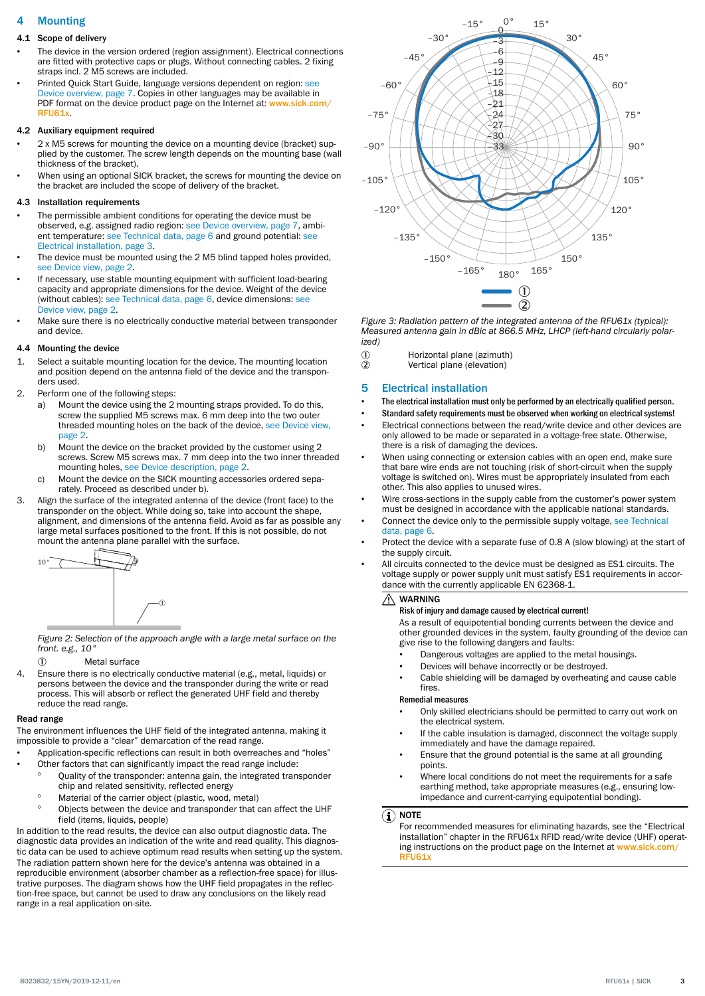# 4 Mounting

# 4.1 Scope of delivery

- The device in the version ordered (region assignment). Electrical connections are fitted with protective caps or plugs. Without connecting cables. 2 fixing straps incl. 2 M5 screws are included.
- Printed Quick Start Guide, language versions dependent on region: [see](#page-6-0) [Device overview, page 7](#page-6-0). Copies in other languages may be available in PDF format on the device product page on the Internet at: [www.sick.com/](http://www.sick.com/RFU61x) [RFU61x](http://www.sick.com/RFU61x).

## 4.2 Auxiliary equipment required

- 2 x M5 screws for mounting the device on a mounting device (bracket) sup‐ plied by the customer. The screw length depends on the mounting base (wall thickness of the bracket).
- When using an optional SICK bracket, the screws for mounting the device on the bracket are included the scope of delivery of the bracket.

# 4.3 Installation requirements

- The permissible ambient conditions for operating the device must be observed, e.g. assigned radio region: [see Device overview, page 7,](#page-6-0) ambi‐ ent temperature: [see Technical data, page 6](#page-5-0) and ground potential: see Electrical installation, page 3.
- The device must be mounted using the 2 M5 blind tapped holes provided, [see Device view, page 2.](#page-1-0)
- If necessary, use stable mounting equipment with sufficient load-bearing capacity and appropriate dimensions for the device. Weight of the device (without cables): [see Technical data, page 6](#page-5-0), device dimensions: [see](#page-1-0) [Device view, page 2.](#page-1-0)
- Make sure there is no electrically conductive material between transponder and device

# 4.4 Mounting the device

- Select a suitable mounting location for the device. The mounting location and position depend on the antenna field of the device and the transpon‐ ders used.
- 2. Perform one of the following steps:
	- a) Mount the device using the 2 mounting straps provided. To do this, screw the supplied M5 screws max. 6 mm deep into the two outer threaded mounting holes on the back of the device, [see Device view,](#page-1-0) [page 2](#page-1-0).
	- b) Mount the device on the bracket provided by the customer using 2 screws. Screw M5 screws max. 7 mm deep into the two inner threaded mounting holes, [see Device description, page 2](#page-1-0).
	- c) Mount the device on the SICK mounting accessories ordered separately. Proceed as described under b).
- 3. Align the surface of the integrated antenna of the device (front face) to the transponder on the object. While doing so, take into account the shape, alignment, and dimensions of the antenna field. Avoid as far as possible any large metal surfaces positioned to the front. If this is not possible, do not mount the antenna plane parallel with the surface.



*Figure 2: Selection of the approach angle with a large metal surface on the front. e.g., 10°*

- 1 Metal surface
- 4. Ensure there is no electrically conductive material (e.g., metal, liquids) or persons between the device and the transponder during the write or read process. This will absorb or reflect the generated UHF field and thereby reduce the read range.

### Read range

The environment influences the UHF field of the integrated antenna, making it impossible to provide a "clear" demarcation of the read range.

- Application-specific reflections can result in both overreaches and "holes"
- Other factors that can significantly impact the read range include:
	- Quality of the transponder: antenna gain, the integrated transponder chip and related sensitivity, reflected energy
	- ° Material of the carrier object (plastic, wood, metal)
	- ° Objects between the device and transponder that can affect the UHF field (items, liquids, people)

In addition to the read results, the device can also output diagnostic data. The diagnostic data provides an indication of the write and read quality. This diagnos‐ tic data can be used to achieve optimum read results when setting up the system. The radiation pattern shown here for the device's antenna was obtained in a reproducible environment (absorber chamber as a reflection-free space) for illustrative purposes. The diagram shows how the UHF field propagates in the reflec‐ tion-free space, but cannot be used to draw any conclusions on the likely read range in a real application on-site.



*Figure 3: Radiation pattern of the integrated antenna of the RFU61x (typical): Measured antenna gain in dBic at 866.5 MHz, LHCP (left-hand circularly polar‐ ized)*

- 1 Horizontal plane (azimuth)<br>1 Vertical plane (elevation)
- Vertical plane (elevation)

# 5 Electrical installation

- The electrical installation must only be performed by an electrically qualified person.
- Standard safety requirements must be observed when working on electrical systems!
- Electrical connections between the read/write device and other devices are only allowed to be made or separated in a voltage-free state. Otherwise, there is a risk of damaging the devices.
- When using connecting or extension cables with an open end, make sure that bare wire ends are not touching (risk of short-circuit when the supply voltage is switched on). Wires must be appropriately insulated from each other. This also applies to unused wires.
- Wire cross-sections in the supply cable from the customer's power system must be designed in accordance with the applicable national standards.
- Connect the device only to the permissible supply voltage, [see Technical](#page-5-0) [data, page 6.](#page-5-0)
- Protect the device with a separate fuse of 0.8 A (slow blowing) at the start of the supply circuit.
- All circuits connected to the device must be designed as ES1 circuits. The voltage supply or power supply unit must satisfy ES1 requirements in accordance with the currently applicable EN 62368-1.

#### WARNING ⚠

### Risk of injury and damage caused by electrical current!

As a result of equipotential bonding currents between the device and other grounded devices in the system, faulty grounding of the device can give rise to the following dangers and faults:

- Dangerous voltages are applied to the metal housings.
- Devices will behave incorrectly or be destroyed.
- Cable shielding will be damaged by overheating and cause cable fires.

### Remedial measures

- Only skilled electricians should be permitted to carry out work on the electrical system.
- If the cable insulation is damaged, disconnect the voltage supply immediately and have the damage repaired.
- Ensure that the ground potential is the same at all grounding points.
- Where local conditions do not meet the requirements for a safe earthing method, take appropriate measures (e.g., ensuring lowimpedance and current-carrying equipotential bonding).

# $\Omega$  note

For recommended measures for eliminating hazards, see the "Electrical installation" chapter in the RFU61x RFID read/write device (UHF) operat‐ ing instructions on the product page on the Internet at [www.sick.com/](http://www.sick.com/RFU61x) [RFU61x](http://www.sick.com/RFU61x)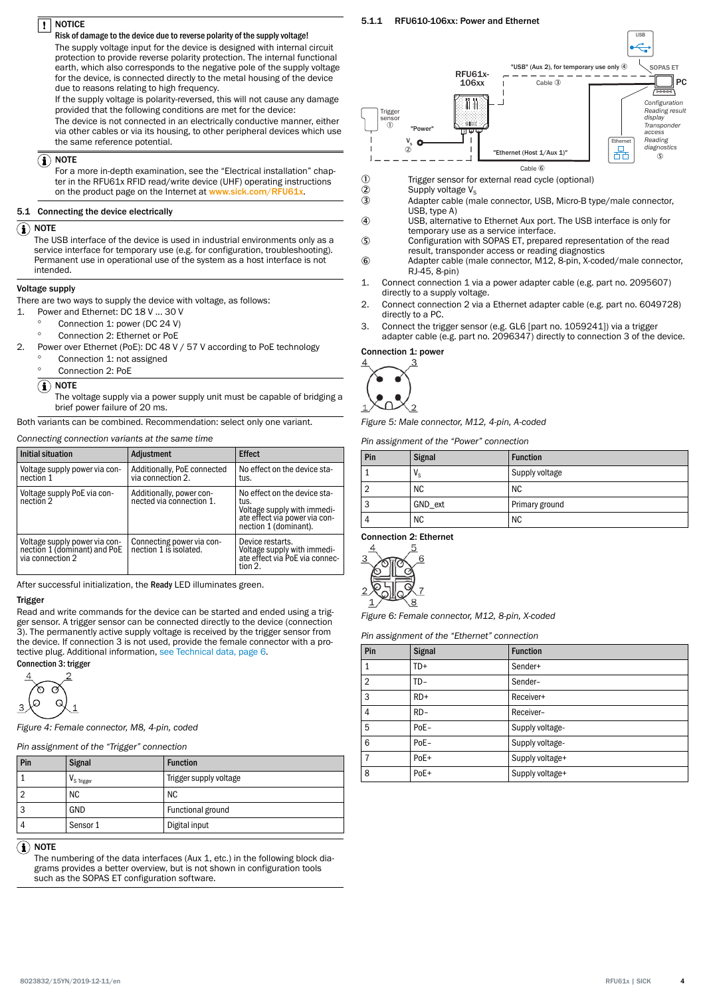#### **NOTICE**  $\mathbf{I}$

# Risk of damage to the device due to reverse polarity of the supply voltage!

The supply voltage input for the device is designed with internal circuit protection to provide reverse polarity protection. The internal functional earth, which also corresponds to the negative pole of the supply voltage for the device, is connected directly to the metal housing of the device due to reasons relating to high frequency.

If the supply voltage is polarity-reversed, this will not cause any damage provided that the following conditions are met for the device:

The device is not connected in an electrically conductive manner, either via other cables or via its housing, to other peripheral devices which use the same reference potential.

# $\left(\mathbf{i}\right)$  note

For a more in-depth examination, see the "Electrical installation" chap‐ ter in the RFU61x RFID read/write device (UHF) operating instructions on the product page on the Internet at [www.sick.com/RFU61x](http://www.sick.com/RFU61x).

# 5.1 Connecting the device electrically

### $\mathbf \Omega$  note

The USB interface of the device is used in industrial environments only as a service interface for temporary use (e.g. for configuration, troubleshooting). Permanent use in operational use of the system as a host interface is not intended.

# Voltage supply

There are two ways to supply the device with voltage, as follows:

- Power and Ethernet: DC 18 V ... 30 V
- Connection 1: power (DC 24 V)
	- ° Connection 2: Ethernet or PoE
- 2. Power over Ethernet (PoE): DC 48 V / 57 V according to PoE technology
	- Connection 1: not assigned
	- Connection 2: PoE

# $\left( \mathbf{\hat{i}}\right)$  note

The voltage supply via a power supply unit must be capable of bridging a brief power failure of 20 ms.

Both variants can be combined. Recommendation: select only one variant.

### *Connecting connection variants at the same time*

| Initial situation                                                            | Adjustment                                           | <b>Effect</b>                                                                                                                 |
|------------------------------------------------------------------------------|------------------------------------------------------|-------------------------------------------------------------------------------------------------------------------------------|
| Voltage supply power via con-<br>nection 1                                   | Additionally, PoE connected<br>via connection 2.     | No effect on the device sta-<br>tus.                                                                                          |
| Voltage supply PoE via con-<br>nection 2                                     | Additionally, power con-<br>nected via connection 1. | No effect on the device sta-<br>tus.<br>Voltage supply with immedi-<br>ate effect via power via con-<br>nection 1 (dominant). |
| Voltage supply power via connection 1 (dominant) and PoE<br>via connection 2 | Connecting power via con-<br>nection 1 is isolated.  | Device restarts.<br>Voltage supply with immediate effect via PoE via connec-<br>tion 2.                                       |

After successful initialization, the Ready LED illuminates green.

# **Trigger**

Read and write commands for the device can be started and ended using a trig‐ ger sensor. A trigger sensor can be connected directly to the device (connection 3). The permanently active supply voltage is received by the trigger sensor from the device. If connection 3 is not used, provide the female connector with a protective plug. Additional information, [see Technical data, page 6.](#page-5-0) Connection 3: trigger

۶  $\sigma$  $\mathcal{O}$  $\mathsf{C}$ 



*Figure 4: Female connector, M8, 4-pin, coded*

#### *Pin assignment of the "Trigger" connection*

| Pin | <b>Signal</b>          | <b>Function</b>        |
|-----|------------------------|------------------------|
|     | V <sub>S</sub> Trigger | Trigger supply voltage |
|     | ΝC                     | <b>NC</b>              |
|     | GND                    | Functional ground      |
|     | Sensor 1               | Digital input          |

# $\left(\widehat{\mathbf{1}}\right)$  note

The numbering of the data interfaces (Aux 1, etc.) in the following block diagrams provides a better overview, but is not shown in configuration tools such as the SOPAS ET configuration software.





- 1 Trigger sensor for external read cycle (optional)<br>
2 Supply voltage  $V_s$
- 

5.1.1 RFU610-106xx: Power and Ethernet

- $\overline{2}$  Supply voltage V<sub>s</sub><br>3 Adapter cable (m Adapter cable (male connector, USB, Micro-B type/male connector, USB, type A)
- 4 USB, alternative to Ethernet Aux port. The USB interface is only for temporary use as a service interface.
- 5 Configuration with SOPAS ET, prepared representation of the read result, transponder access or reading diagnostics
- 6 Adapter cable (male connector, M12, 8-pin, X-coded/male connector, RJ-45, 8-pin)
- 1. Connect connection 1 via a power adapter cable (e.g. part no. 2095607) directly to a supply voltage.
- 2. Connect connection 2 via a Ethernet adapter cable (e.g. part no. 6049728) directly to a PC.
- 3. Connect the trigger sensor (e.g. GL6 [part no. 1059241]) via a trigger
- adapter cable (e.g. part no. 2096347) directly to connection 3 of the device.

# Connection 1: power



*Figure 5: Male connector, M12, 4-pin, A-coded*

*Pin assignment of the "Power" connection*

| Pin | <b>Signal</b> | <b>Function</b> |
|-----|---------------|-----------------|
|     | $V_{\rm S}$   | Supply voltage  |
|     | <b>NC</b>     | ΝC              |
| 3   | GND_ext       | Primary ground  |
|     | <b>NC</b>     | <b>NC</b>       |

Connection 2: Ethernet



*Figure 6: Female connector, M12, 8-pin, X-coded*

*Pin assignment of the "Ethernet" connection*

| Pin            | <b>Signal</b> | <b>Function</b> |
|----------------|---------------|-----------------|
| 1              | $TD+$         | Sender+         |
| $\overline{2}$ | $TD-$         | Sender-         |
| 3              | $RD+$         | Receiver+       |
| 4              | $RD-$         | Receiver-       |
| 5              | PoE-          | Supply voltage- |
| 6              | PoE-          | Supply voltage- |
| $\overline{7}$ | $PoE+$        | Supply voltage+ |
| 8              | PoE+          | Supply voltage+ |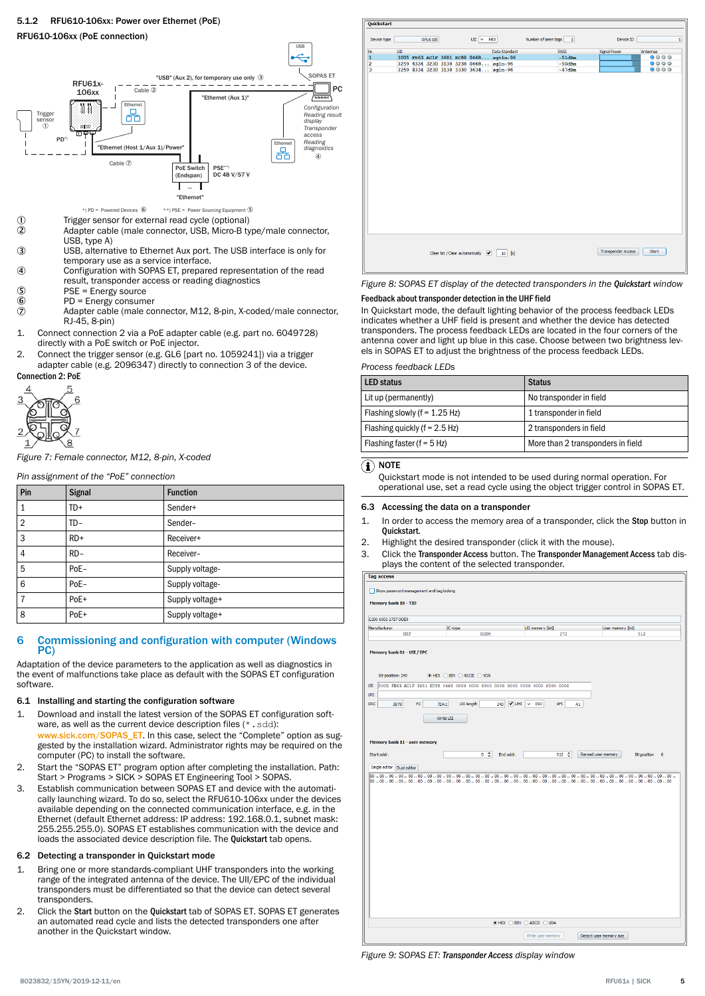



\*) PD = Powered Devices 6 \*\*) PSE = Power Sourcing Equipment 5

- 1 Trigger sensor for external read cycle (optional)<br>2 Adapter cable (male connector USB Micro-B ty Adapter cable (male connector, USB, Micro-B type/male connector, USB, type A)
- 3 USB, alternative to Ethernet Aux port. The USB interface is only for temporary use as a service interface.
- 4 Configuration with SOPAS ET, prepared representation of the read result, transponder access or reading diagnostics
- 
- $5$  PSE = Energy source<br>  $6$  PD = Energy consum PD = Energy consumer
- 7 Adapter cable (male connector, M12, 8-pin, X-coded/male connector, RJ-45, 8-pin)
- 1. Connect connection 2 via a PoE adapter cable (e.g. part no. 6049728) directly with a PoE switch or PoE injector.
- 2. Connect the trigger sensor (e.g. GL6 [part no. 1059241]) via a trigger adapter cable (e.g. 2096347) directly to connection 3 of the device.

Connection 2: PoE



*Figure 7: Female connector, M12, 8-pin, X-coded*

*Pin assignment of the "PoE" connection*

| Pin            | <b>Signal</b> | <b>Function</b> |
|----------------|---------------|-----------------|
|                | $TD+$         | Sender+         |
| $\overline{2}$ | TD-           | Sender-         |
| 3              | $RD+$         | Receiver+       |
| 4              | $RD -$        | Receiver-       |
| 5              | PoE-          | Supply voltage- |
| 6              | PoE-          | Supply voltage- |
| 7              | PoE+          | Supply voltage+ |
| 8              | PoE+          | Supply voltage+ |

# 6 Commissioning and configuration with computer (Windows PC)

Adaptation of the device parameters to the application as well as diagnostics in the event of malfunctions take place as default with the SOPAS ET configuration software.

# 6.1 Installing and starting the configuration software

- 1. Download and install the latest version of the SOPAS ET configuration software, as well as the current device description files (\*.sdd): [www.sick.com/SOPAS\\_ET](http://www.sick.com/SOPAS_ET). In this case, select the "Complete" option as sug-
- gested by the installation wizard. Administrator rights may be required on the computer (PC) to install the software.
- 2. Start the "SOPAS ET" program option after completing the installation. Path: Start > Programs > SICK > SOPAS ET Engineering Tool > SOPAS.
- 3. Establish communication between SOPAS ET and device with the automatically launching wizard. To do so, select the RFU610-106xx under the devices available depending on the connected communication interface, e.g. in the Ethernet (default Ethernet address: IP address: 192.168.0.1, subnet mask: 255.255.255.0). SOPAS ET establishes communication with the device and loads the associated device description file. The Quickstart tab opens.

# 6.2 Detecting a transponder in Quickstart mode

- 1. Bring one or more standards-compliant UHF transponders into the working range of the integrated antenna of the device. The UII/EPC of the individual transponders must be differentiated so that the device can detect several transponders.
- 2. Click the Start button on the Quickstart tab of SOPAS ET. SOPAS ET generates an automated read cycle and lists the detected transponders one after another in the Quickstart window.



*Figure 8: SOPAS ET display of the detected transponders in the Quickstart window*

#### Feedback about transponder detection in the UHF field

In Quickstart mode, the default lighting behavior of the process feedback LEDs indicates whether a UHF field is present and whether the device has detected transponders. The process feedback LEDs are located in the four corners of the antenna cover and light up blue in this case. Choose between two brightness levels in SOPAS ET to adjust the brightness of the process feedback LEDs.

#### *Process feedback LEDs*

| <b>LED status</b>               | <b>Status</b>                     |
|---------------------------------|-----------------------------------|
| Lit up (permanently)            | No transponder in field           |
| Flashing slowly $(f = 1.25 Hz)$ | 1 transponder in field            |
| Flashing quickly $(f = 2.5 Hz)$ | 2 transponders in field           |
| Flashing faster ( $f = 5$ Hz)   | More than 2 transponders in field |

# $\left(\widehat{\mathbf{I}}\right)$  note

Quickstart mode is not intended to be used during normal operation. For operational use, set a read cycle using the object trigger control in SOPAS ET.

#### 6.3 Accessing the data on a transponder

- 1. In order to access the memory area of a transponder, click the Stop button in Quickstart.
- 2. Highlight the desired transponder (click it with the mouse).
- 3. Click the Transponder Access button. The Transponder Management Access tab dis‐ plays the content of the selected transponder.

| <b>Memory bank 10 - TID</b><br>UII memory [bit]<br>IC-type<br>User memory [bit]<br>NXP<br>G2XM<br>272<br>512<br>Memory bank 01 - UII / EPC<br>● HEX O BIN O ASCII O VDA<br>Bit position: 240<br>V UMI<br><b>CRC</b><br>PC<br>UII length<br><b>ISO</b><br><b>AFI</b><br>240<br>A1<br>3879<br>7DA1<br>$\checkmark$<br>Write UII<br>Memory bank 11 - user memory<br>$0 \circ$<br>512 C<br>Reread user memory<br>Start addr.<br>End addr.<br><b>Bit position</b><br>$\circ$<br>Single editor   Dual editor<br>⊙ HEX O BIN O ASCII O VDA<br>Write user memory<br>Detect user memory size | <b>Tag access</b>                        |  |
|-------------------------------------------------------------------------------------------------------------------------------------------------------------------------------------------------------------------------------------------------------------------------------------------------------------------------------------------------------------------------------------------------------------------------------------------------------------------------------------------------------------------------------------------------------------------------------------|------------------------------------------|--|
|                                                                                                                                                                                                                                                                                                                                                                                                                                                                                                                                                                                     | Show password management and tag locking |  |
|                                                                                                                                                                                                                                                                                                                                                                                                                                                                                                                                                                                     | E200 6003 2757 DDE9                      |  |
|                                                                                                                                                                                                                                                                                                                                                                                                                                                                                                                                                                                     | Manufacturer                             |  |
|                                                                                                                                                                                                                                                                                                                                                                                                                                                                                                                                                                                     |                                          |  |
|                                                                                                                                                                                                                                                                                                                                                                                                                                                                                                                                                                                     |                                          |  |
|                                                                                                                                                                                                                                                                                                                                                                                                                                                                                                                                                                                     | UII                                      |  |
|                                                                                                                                                                                                                                                                                                                                                                                                                                                                                                                                                                                     | <b>URI</b>                               |  |
|                                                                                                                                                                                                                                                                                                                                                                                                                                                                                                                                                                                     |                                          |  |
|                                                                                                                                                                                                                                                                                                                                                                                                                                                                                                                                                                                     |                                          |  |
|                                                                                                                                                                                                                                                                                                                                                                                                                                                                                                                                                                                     |                                          |  |
|                                                                                                                                                                                                                                                                                                                                                                                                                                                                                                                                                                                     |                                          |  |
|                                                                                                                                                                                                                                                                                                                                                                                                                                                                                                                                                                                     |                                          |  |
|                                                                                                                                                                                                                                                                                                                                                                                                                                                                                                                                                                                     |                                          |  |
|                                                                                                                                                                                                                                                                                                                                                                                                                                                                                                                                                                                     |                                          |  |
|                                                                                                                                                                                                                                                                                                                                                                                                                                                                                                                                                                                     |                                          |  |
|                                                                                                                                                                                                                                                                                                                                                                                                                                                                                                                                                                                     |                                          |  |
|                                                                                                                                                                                                                                                                                                                                                                                                                                                                                                                                                                                     |                                          |  |
|                                                                                                                                                                                                                                                                                                                                                                                                                                                                                                                                                                                     |                                          |  |
|                                                                                                                                                                                                                                                                                                                                                                                                                                                                                                                                                                                     |                                          |  |
|                                                                                                                                                                                                                                                                                                                                                                                                                                                                                                                                                                                     |                                          |  |
|                                                                                                                                                                                                                                                                                                                                                                                                                                                                                                                                                                                     |                                          |  |
|                                                                                                                                                                                                                                                                                                                                                                                                                                                                                                                                                                                     |                                          |  |
|                                                                                                                                                                                                                                                                                                                                                                                                                                                                                                                                                                                     |                                          |  |
|                                                                                                                                                                                                                                                                                                                                                                                                                                                                                                                                                                                     |                                          |  |
|                                                                                                                                                                                                                                                                                                                                                                                                                                                                                                                                                                                     |                                          |  |

*Figure 9: SOPAS ET: Transponder Access display window*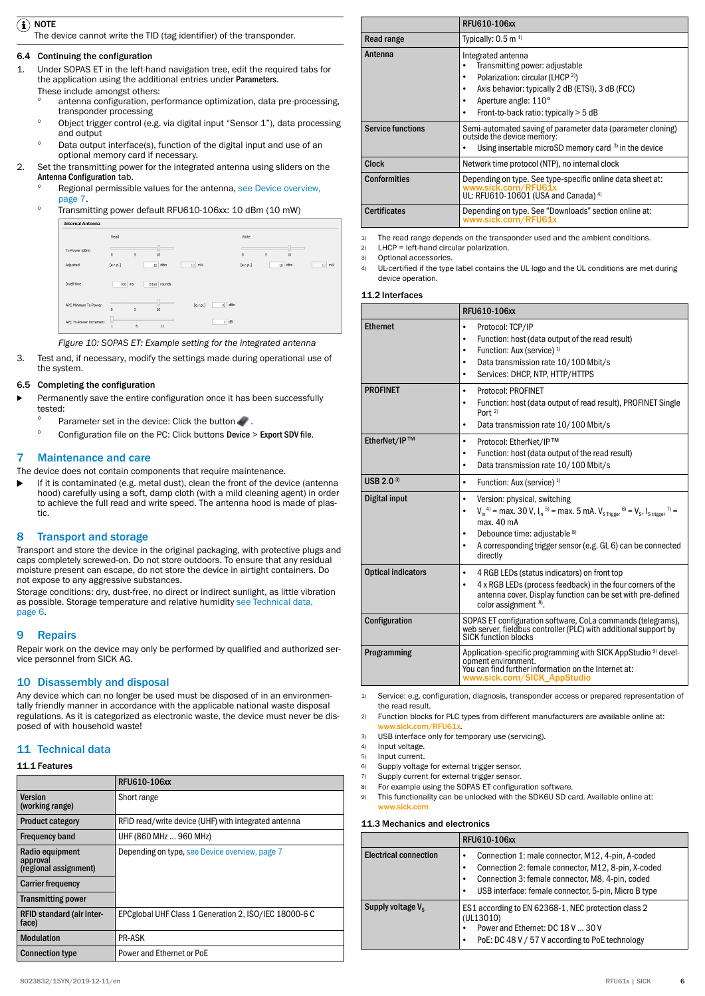# <span id="page-5-0"></span> $\Omega$  note

The device cannot write the TID (tag identifier) of the transponder.

# 6.4 Continuing the configuration

- 1. Under SOPAS ET in the left-hand navigation tree, edit the required tabs for the application using the additional entries under Parameters.
	- These include amongst others:
		- antenna configuration, performance optimization, data pre-processing, transponder processing
		- ° Object trigger control (e.g. via digital input "Sensor 1"), data processing and output
		- Data output interface(s), function of the digital input and use of an optional memory card if necessary.
- 2. Set the transmitting power for the integrated antenna using sliders on the Antenna Configuration tab.
	- Regional permissible values for the antenna, [see Device overview,](#page-6-0) [page 7](#page-6-0).
	- ° Transmitting power default RFU610-106xx: 10 dBm (10 mW)



*Figure 10: SOPAS ET: Example setting for the integrated antenna*

3. Test and, if necessary, modify the settings made during operational use of the system.

# 6.5 Completing the configuration

- Permanently save the entire configuration once it has been successfully tested:
	- ° Parameter set in the device: Click the button  $\mathcal{L}$ .
	- Configuration file on the PC: Click buttons Device > Export SDV file.

# 7 Maintenance and care

The device does not contain components that require maintenance.

If it is contaminated (e.g. metal dust), clean the front of the device (antenna hood) carefully using a soft, damp cloth (with a mild cleaning agent) in order to achieve the full read and write speed. The antenna hood is made of plastic.

# 8 Transport and storage

Transport and store the device in the original packaging, with protective plugs and caps completely screwed-on. Do not store outdoors. To ensure that any residual moisture present can escape, do not store the device in airtight containers. Do not expose to any aggressive substances.

Storage conditions: dry, dust-free, no direct or indirect sunlight, as little vibration as possible. Storage temperature and relative humidity see Technical data, page 6.

# 9 Repairs

Repair work on the device may only be performed by qualified and authorized ser‐ vice personnel from SICK AG.

# 10 Disassembly and disposal

Any device which can no longer be used must be disposed of in an environmen‐ tally friendly manner in accordance with the applicable national waste disposal regulations. As it is categorized as electronic waste, the device must never be dis‐ posed of with household waste!

# 11 Technical data

# 11.1 Features

|                                                      | RFU610-106xx                                          |
|------------------------------------------------------|-------------------------------------------------------|
| Version<br>(working range)                           | Short range                                           |
| <b>Product category</b>                              | RFID read/write device (UHF) with integrated antenna  |
| <b>Frequency band</b>                                | UHF (860 MHz  960 MHz)                                |
| Radio equipment<br>approval<br>(regional assignment) | Depending on type, see Device overview, page 7        |
| <b>Carrier frequency</b>                             |                                                       |
| <b>Transmitting power</b>                            |                                                       |
| RFID standard (air inter-<br>face)                   | EPCglobal UHF Class 1 Generation 2, ISO/IEC 18000-6 C |
| <b>Modulation</b>                                    | <b>PR-ASK</b>                                         |
| <b>Connection type</b>                               | Power and Ethernet or PoE                             |

|                          | RFU610-106xx                                                                                                                                                                                                                   |
|--------------------------|--------------------------------------------------------------------------------------------------------------------------------------------------------------------------------------------------------------------------------|
| Read range               | Typically: $0.5$ m <sup>1)</sup>                                                                                                                                                                                               |
| Antenna                  | Integrated antenna<br>Transmitting power: adjustable<br>Polarization: circular (LHCP <sup>2)</sup> )<br>٠<br>Axis behavior: typically 2 dB (ETSI), 3 dB (FCC)<br>Aperture angle: 110°<br>Front-to-back ratio: typically > 5 dB |
| <b>Service functions</b> | Semi-automated saving of parameter data (parameter cloning)<br>outside the device memory:<br>Using insertable microSD memory card 3) in the device                                                                             |
| <b>Clock</b>             | Network time protocol (NTP), no internal clock                                                                                                                                                                                 |
| <b>Conformities</b>      | Depending on type. See type-specific online data sheet at:<br>www.sick.com/RFU61x<br>UL: RFU610-10601 (USA and Canada) <sup>4)</sup>                                                                                           |
| <b>Certificates</b>      | Depending on type. See "Downloads" section online at:<br>www.sick.com/RFU61x                                                                                                                                                   |

1) The read range depends on the transponder used and the ambient conditions.

2) LHCP = left-hand circular polarization.

3) Optional accessories.

4) UL-certified if the type label contains the UL logo and the UL conditions are met during device operation.

### 11.2 Interfaces

|                           | RFU610-106xx                                                                                                                                                                                                                                                                                                                      |
|---------------------------|-----------------------------------------------------------------------------------------------------------------------------------------------------------------------------------------------------------------------------------------------------------------------------------------------------------------------------------|
| <b>Ethernet</b>           | Protocol: TCP/IP<br>٠<br>Function: host (data output of the read result)<br>٠<br>Function: Aux (service) <sup>1)</sup><br>٠<br>Data transmission rate 10/100 Mbit/s<br>٠<br>Services: DHCP, NTP, HTTP/HTTPS<br>$\bullet$                                                                                                          |
| <b>PROFINET</b>           | Protocol: PROFINET<br>$\bullet$<br>Function: host (data output of read result), PROFINET Single<br>٠<br>Port $2$<br>Data transmission rate 10/100 Mbit/s<br>٠                                                                                                                                                                     |
| EtherNet/IP™              | Protocol: EtherNet/IP™<br>٠<br>Function: host (data output of the read result)<br>٠<br>Data transmission rate 10/100 Mbit/s<br>$\bullet$                                                                                                                                                                                          |
| USB 2.0 $3$               | Function: Aux (service) <sup>1)</sup><br>٠                                                                                                                                                                                                                                                                                        |
| Digital input             | Version: physical, switching<br>٠<br>$V_{in}^{4}$ <sup>4)</sup> = max. 30 V, $I_{in}^{5}$ <sup>5</sup> = max. 5 mA. $V_{s \text{ trigger}}^{6}$ = $V_{s}$ , $I_{s \text{ trigger}}^{7}$ =<br>٠<br>max. 40 mA<br>Debounce time: adjustable 8)<br>٠<br>A corresponding trigger sensor (e.g. GL 6) can be connected<br>٠<br>directly |
| <b>Optical indicators</b> | 4 RGB LEDs (status indicators) on front top<br>٠<br>4 x RGB LEDs (process feedback) in the four corners of the<br>٠<br>antenna cover. Display function can be set with pre-defined<br>color assignment 8).                                                                                                                        |
| Configuration             | SOPAS ET configuration software, CoLa commands (telegrams),<br>web server, fieldbus controller (PLC) with additional support by<br>SICK function blocks                                                                                                                                                                           |
| Programming               | Application-specific programming with SICK AppStudio <sup>9)</sup> devel-<br>opment environment.<br>You can find further information on the Internet at:<br>www.sick.com/SICK_AppStudio                                                                                                                                           |

1) Service: e.g. configuration, diagnosis, transponder access or prepared representation of the read result.

2) Function blocks for PLC types from different manufacturers are available online at: ww.sick.com/RFU61x

- 3) USB interface only for temporary use (servicing).
- 4) Input voltage.<br>5) Input current.
- Input current.
- 6) Supply voltage for external trigger sensor.
- 7) Supply current for external trigger sensor.
- 8) For example using the SOPAS ET configuration software.<br>9) This functionality can be unlocked with the SDK6U SD ca
- This functionality can be unlocked with the SDK6U SD card. Available online at: [www.sick.com](http://www.sick.com)

#### 11.3 Mechanics and electronics

|                               | RFU610-106xx                                                                                                                                                                                                              |  |  |  |
|-------------------------------|---------------------------------------------------------------------------------------------------------------------------------------------------------------------------------------------------------------------------|--|--|--|
| <b>Electrical connection</b>  | Connection 1: male connector, M12, 4-pin, A-coded<br>Connection 2: female connector, M12, 8-pin, X-coded<br>Connection 3: female connector, M8, 4-pin, coded<br>USB interface: female connector, 5-pin, Micro B type<br>٠ |  |  |  |
| Supply voltage V <sub>s</sub> | ES1 according to EN 62368-1, NEC protection class 2<br>(UL13010)<br>Power and Ethernet: DC 18 V  30 V<br>PoE: DC 48 V / 57 V according to PoE technology                                                                  |  |  |  |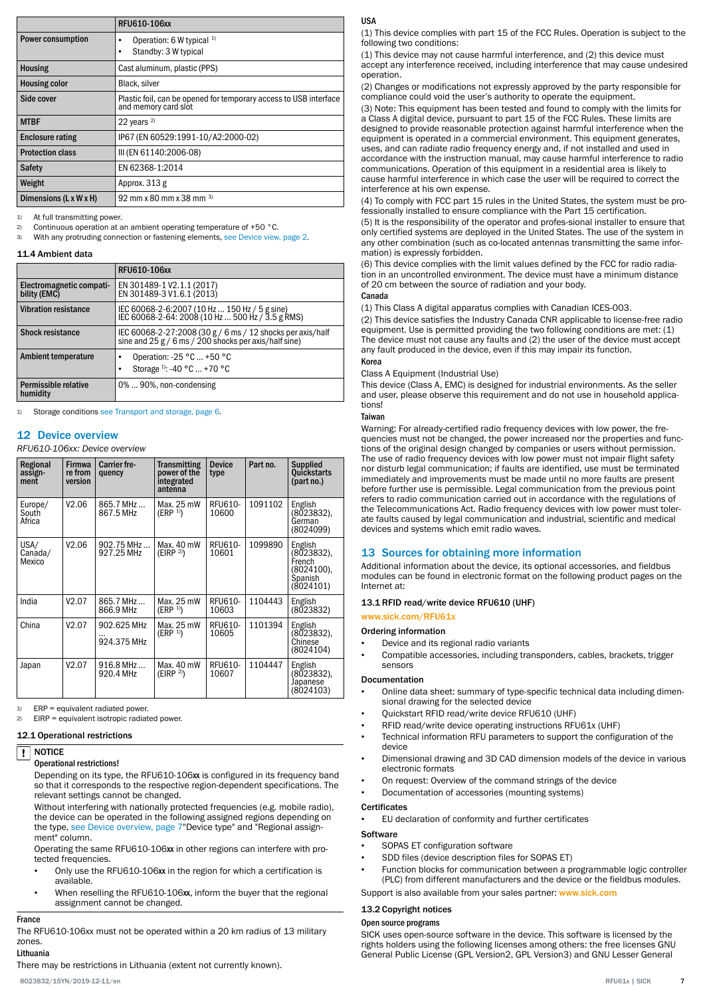<span id="page-6-0"></span>

|                          | RFU610-106xx                                                                              |
|--------------------------|-------------------------------------------------------------------------------------------|
| <b>Power consumption</b> | Operation: 6 W typical <sup>1)</sup><br>٠<br>Standby: 3 W typical<br>٠                    |
| <b>Housing</b>           | Cast aluminum, plastic (PPS)                                                              |
| <b>Housing color</b>     | Black, silver                                                                             |
| Side cover               | Plastic foil, can be opened for temporary access to USB interface<br>and memory card slot |
| <b>MTBF</b>              | 22 years $2)$                                                                             |
| <b>Enclosure rating</b>  | IP67 (EN 60529:1991-10/A2:2000-02)                                                        |
| <b>Protection class</b>  | III (EN 61140:2006-08)                                                                    |
| <b>Safety</b>            | EN 62368-1:2014                                                                           |
| Weight                   | Approx. 313 g                                                                             |
| Dimensions (L x W x H)   | 92 mm x 80 mm x 38 mm $^{3}$                                                              |

1) At full transmitting power.

2) Continuous operation at an ambient operating temperature of +50 °C.

3) With any protruding connection or fastening elements, [see Device view, page 2](#page-1-0).

#### 11.4 Ambient data

|                                          | <b>RFU610-106xx</b>                                                                                              |
|------------------------------------------|------------------------------------------------------------------------------------------------------------------|
| Electromagnetic compati-<br>bility (EMC) | EN 301489-1 V2.1.1 (2017)<br>EN 301489-3 V1.6.1 (2013)                                                           |
| <b>Vibration resistance</b>              | IEC 60068-2-6:2007 (10 Hz  150 Hz / 5 g sine)<br>IEC 60068-2-64: 2008 (10 Hz  500 Hz / 3.5 g RMS)                |
| <b>Shock resistance</b>                  | IEC 60068-2-27:2008 (30 g / 6 ms / 12 shocks per axis/half sine and 25 g / 6 ms / 200 shocks per axis/half sine) |
| Ambient temperature                      | Operation: -25 °C  +50 °C<br>٠<br>Storage <sup>1)</sup> : -40 °C  +70 °C                                         |
| Permissible relative<br>humidity         | 0%90%, non-condensing                                                                                            |

Storage conditions [see Transport and storage, page 6](#page-5-0).

# 12 Device overview

# *RFU610-106xx: Device overview*

| Regional<br>assign-<br>ment | <b>Firmwa</b><br>re from<br>version | <b>Carrier fre-</b><br>quency | <b>Transmitting</b><br>power of the<br>integrated<br>antenna | <b>Device</b><br>type | Part no. | <b>Supplied</b><br>Quickstarts<br>(part no.)                          |
|-----------------------------|-------------------------------------|-------------------------------|--------------------------------------------------------------|-----------------------|----------|-----------------------------------------------------------------------|
| Europe/<br>South<br>Africa  | V2.06                               | 865.7 MHz<br>867.5 MHz        | Max. 25 mW<br>(ERP <sup>1</sup> )                            | RFU610-<br>10600      | 1091102  | English<br>(8023832),<br>German<br>(8024099)                          |
| USA/<br>Canada/<br>Mexico   | V2.06                               | 902.75 MHz<br>927.25 MHz      | Max. 40 mW<br>(EIRP <sup>2)</sup>                            | RFU610-<br>10601      | 1099890  | English<br>(8023832),<br>French<br>(8024100).<br>Spanish<br>(8024101) |
| India                       | V2.07                               | 865.7 MHz<br>866.9 MHz        | Max. 25 mW<br>(ERP <sup>1</sup> )                            | RFU610-<br>10603      | 1104443  | English<br>(8023832)                                                  |
| China                       | V2.07                               | 902.625 MHz<br>924.375 MHz    | Max. 25 mW<br>(ERP <sup>1</sup> )                            | RFU610-<br>10605      | 1101394  | English<br>(8023832),<br>Chinese<br>(8024104)                         |
| Japan                       | V2.07                               | 916.8 MHz<br>920.4 MHz        | Max. 40 mW<br>(EIRP <sup>2</sup> )                           | RFU610-<br>10607      | 1104447  | English<br>(8023832),<br>Japanese<br>(8024103)                        |

 $FRP =$  equivalent radiated power.

2) EIRP = equivalent isotropic radiated power.

#### 12.1 Operational restrictions

#### NOTICE  $\mathbf{1}$

# Operational restrictions!

Depending on its type, the RFU610-106xx is configured in its frequency band so that it corresponds to the respective region-dependent specifications. The relevant settings cannot be changed.

Without interfering with nationally protected frequencies (e.g. mobile radio), the device can be operated in the following assigned regions depending on the type, see Device overview, page 7"Device type" and "Regional assignment" column.

Operating the same RFU610-106xx in other regions can interfere with protected frequencies

- Only use the RFU610-106xx in the region for which a certification is available.
- When reselling the RFU610-106xx, inform the buyer that the regional assignment cannot be changed.

# France

The RFU610-106xx must not be operated within a 20 km radius of 13 military zones. Lithuania

There may be restrictions in Lithuania (extent not currently known).

#### USA

(1) This device complies with part 15 of the FCC Rules. Operation is subject to the following two conditions:

(1) This device may not cause harmful interference, and (2) this device must accept any interference received, including interference that may cause undesired operation.

(2) Changes or modifications not expressly approved by the party responsible for compliance could void the user's authority to operate the equipment.

(3) Note: This equipment has been tested and found to comply with the limits for a Class A digital device, pursuant to part 15 of the FCC Rules. These limits are designed to provide reasonable protection against harmful interference when the equipment is operated in a commercial environment. This equipment generates, uses, and can radiate radio frequency energy and, if not installed and used in accordance with the instruction manual, may cause harmful interference to radio communications. Operation of this equipment in a residential area is likely to cause harmful interference in which case the user will be required to correct the interference at his own expense.

(4) To comply with FCC part 15 rules in the United States, the system must be pro‐ fessionally installed to ensure compliance with the Part 15 certification.

(5) It is the responsibility of the operator and profes-sional installer to ensure that only certified systems are deployed in the United States. The use of the system in any other combination (such as co-located antennas transmitting the same infor‐ mation) is expressly forbidden.

(6) This device complies with the limit values defined by the FCC for radio radia‐ tion in an uncontrolled environment. The device must have a minimum distance of 20 cm between the source of radiation and your body.

# Canada

(1) This Class A digital apparatus complies with Canadian ICES-003.

(2) This device satisfies the Industry Canada CNR applicable to license-free radio equipment. Use is permitted providing the two following conditions are met: (1) The device must not cause any faults and (2) the user of the device must accept any fault produced in the device, even if this may impair its function. Korea

Class A Equipment (Industrial Use) This device (Class A, EMC) is designed for industrial environments. As the seller and user, please observe this requirement and do not use in household applications!

#### **Taiwan**

Warning: For already-certified radio frequency devices with low power, the frequencies must not be changed, the power increased nor the properties and func‐ tions of the original design changed by companies or users without permission. The use of radio frequency devices with low power must not impair flight safety nor disturb legal communication; if faults are identified, use must be terminated immediately and improvements must be made until no more faults are present before further use is permissible. Legal communication from the previous point refers to radio communication carried out in accordance with the regulations of the Telecommunications Act. Radio frequency devices with low power must toler‐ ate faults caused by legal communication and industrial, scientific and medical devices and systems which emit radio waves.

# 13 Sources for obtaining more information

Additional information about the device, its optional accessories, and fieldbus modules can be found in electronic format on the following product pages on the Internet at:

# 13.1 RFID read/write device RFU610 (UHF)

[www.sick.com/RFU61x](http://www.sick.com/RFU61x)

#### Ordering information

- Device and its regional radio variants
- Compatible accessories, including transponders, cables, brackets, trigger sensors

# Documentation

- Online data sheet: summary of type-specific technical data including dimen‐ sional drawing for the selected device
- Quickstart RFID read/write device RFU610 (UHF)
- RFID read/write device operating instructions RFU61x (UHF)
- Technical information RFU parameters to support the configuration of the device
- Dimensional drawing and 3D CAD dimension models of the device in various electronic formats
- On request: Overview of the command strings of the device
- Documentation of accessories (mounting systems)

#### **Certificates**

• EU declaration of conformity and further certificates

#### **Software**

- SOPAS ET configuration software
- SDD files (device description files for SOPAS ET)
- Function blocks for communication between a programmable logic controller (PLC) from different manufacturers and the device or the fieldbus modules.
- Support is also available from your sales partner: [www.sick.com](http://www.sick.com)

### 13.2 Copyright notices

#### Open source programs

SICK uses open-source software in the device. This software is licensed by the rights holders using the following licenses among others: the free licenses GNU General Public License (GPL Version2, GPL Version3) and GNU Lesser General